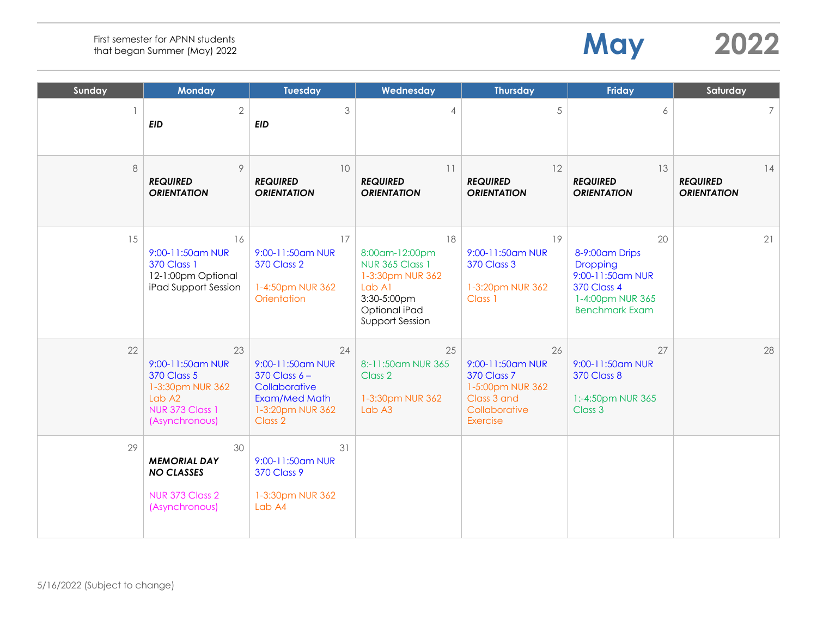| Sunday | <b>Monday</b>                                                                                                                      | <b>Tuesday</b>                                                                                               | Wednesday                                                                                                                       | <b>Thursday</b>                                                                                              | <b>Friday</b>                                                                                                                  | Saturday                                    |
|--------|------------------------------------------------------------------------------------------------------------------------------------|--------------------------------------------------------------------------------------------------------------|---------------------------------------------------------------------------------------------------------------------------------|--------------------------------------------------------------------------------------------------------------|--------------------------------------------------------------------------------------------------------------------------------|---------------------------------------------|
|        | $\overline{2}$<br><b>EID</b>                                                                                                       | 3<br><b>EID</b>                                                                                              | $\overline{4}$                                                                                                                  | 5                                                                                                            | 6                                                                                                                              | 7                                           |
| 8      | 9<br><b>REQUIRED</b><br><b>ORIENTATION</b>                                                                                         | 10<br><b>REQUIRED</b><br><b>ORIENTATION</b>                                                                  | 11<br><b>REQUIRED</b><br><b>ORIENTATION</b>                                                                                     | 12<br><b>REQUIRED</b><br><b>ORIENTATION</b>                                                                  | 13<br><b>REQUIRED</b><br><b>ORIENTATION</b>                                                                                    | 14<br><b>REQUIRED</b><br><b>ORIENTATION</b> |
| 15     | 16<br>9:00-11:50am NUR<br><b>370 Class 1</b><br>12-1:00pm Optional<br>iPad Support Session                                         | 17<br>9:00-11:50am NUR<br><b>370 Class 2</b><br>1-4:50pm NUR 362<br>Orientation                              | 18<br>8:00am-12:00pm<br><b>NUR 365 Class 1</b><br>1-3:30pm NUR 362<br>Lab A1<br>3:30-5:00pm<br>Optional iPad<br>Support Session | 19<br>9:00-11:50am NUR<br><b>370 Class 3</b><br>1-3:20pm NUR 362<br>Class 1                                  | 20<br>8-9:00am Drips<br><b>Dropping</b><br>9:00-11:50am NUR<br><b>370 Class 4</b><br>1-4:00pm NUR 365<br><b>Benchmark Exam</b> | 21                                          |
| 22     | 23<br>9:00-11:50am NUR<br><b>370 Class 5</b><br>1-3:30pm NUR 362<br>Lab A <sub>2</sub><br><b>NUR 373 Class 1</b><br>(Asynchronous) | 24<br>9:00-11:50am NUR<br>$370$ Class $6 -$<br>Collaborative<br>Exam/Med Math<br>1-3:20pm NUR 362<br>Class 2 | 25<br>8:-11:50am NUR 365<br>Class 2<br>1-3:30pm NUR 362<br>Lab A3                                                               | 26<br>9:00-11:50am NUR<br><b>370 Class 7</b><br>1-5:00pm NUR 362<br>Class 3 and<br>Collaborative<br>Exercise | 27<br>9:00-11:50am NUR<br><b>370 Class 8</b><br>1:-4:50pm NUR 365<br>Class 3                                                   | 28                                          |
| 29     | 30<br><b>MEMORIAL DAY</b><br><b>NO CLASSES</b><br>NUR 373 Class 2<br>(Asynchronous)                                                | 31<br>9:00-11:50am NUR<br><b>370 Class 9</b><br>1-3:30pm NUR 362<br>Lab A4                                   |                                                                                                                                 |                                                                                                              |                                                                                                                                |                                             |

**May 2022**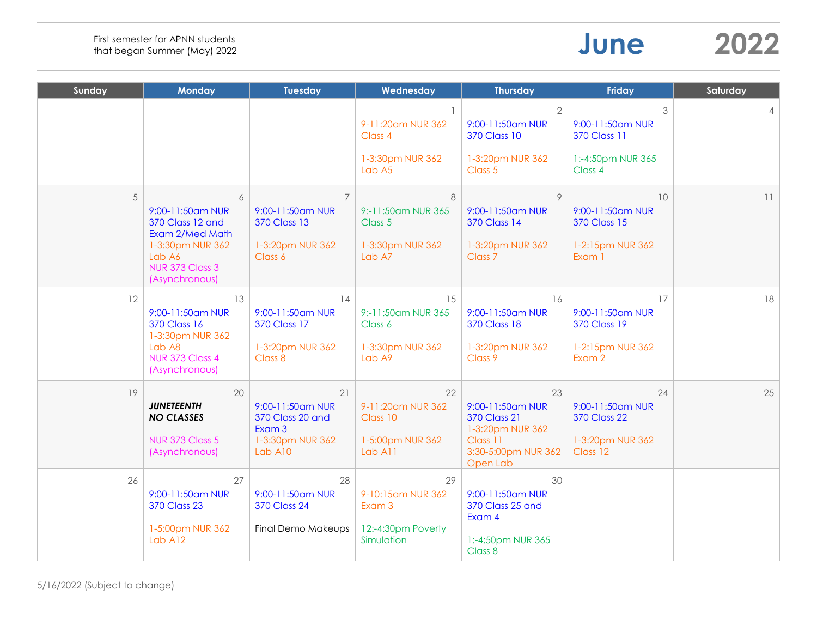| June | 2022 |
|------|------|
|------|------|

| Sunday | <b>Monday</b>                                                                                                                   | <b>Tuesday</b>                                                                           | Wednesday                                                             | <b>Thursday</b>                                                                                                  | Friday                                                                        | Saturday       |
|--------|---------------------------------------------------------------------------------------------------------------------------------|------------------------------------------------------------------------------------------|-----------------------------------------------------------------------|------------------------------------------------------------------------------------------------------------------|-------------------------------------------------------------------------------|----------------|
|        |                                                                                                                                 |                                                                                          | 9-11:20am NUR 362<br>Class 4<br>1-3:30pm NUR 362<br>Lab A5            | $\overline{2}$<br>9:00-11:50am NUR<br><b>370 Class 10</b><br>1-3:20pm NUR 362<br>Class 5                         | 3<br>9:00-11:50am NUR<br><b>370 Class 11</b><br>1:-4:50pm NUR 365<br>Class 4  | $\overline{4}$ |
| 5      | 6<br>9:00-11:50am NUR<br>370 Class 12 and<br>Exam 2/Med Math<br>1-3:30pm NUR 362<br>Lab A6<br>NUR 373 Class 3<br>(Asynchronous) | $\overline{7}$<br>9:00-11:50am NUR<br><b>370 Class 13</b><br>1-3:20pm NUR 362<br>Class 6 | 8<br>9:-11:50am NUR 365<br>Class 5<br>1-3:30pm NUR 362<br>Lab A7      | 9<br>9:00-11:50am NUR<br><b>370 Class 14</b><br>1-3:20pm NUR 362<br>Class <sub>7</sub>                           | 10<br>9:00-11:50am NUR<br><b>370 Class 15</b><br>1-2:15pm NUR 362<br>Exam 1   | 11             |
| 12     | 13<br>9:00-11:50am NUR<br><b>370 Class 16</b><br>1-3:30pm NUR 362<br>Lab A8<br>NUR 373 Class 4<br>(Asynchronous)                | 14<br>9:00-11:50am NUR<br><b>370 Class 17</b><br>1-3:20pm NUR 362<br>Class 8             | 15<br>9:-11:50am NUR 365<br>Class 6<br>1-3:30pm NUR 362<br>Lab A9     | 16<br>9:00-11:50am NUR<br><b>370 Class 18</b><br>1-3:20pm NUR 362<br>Class 9                                     | 17<br>9:00-11:50am NUR<br><b>370 Class 19</b><br>1-2:15pm NUR 362<br>Exam 2   | 18             |
| 19     | 20<br><b>JUNETEENTH</b><br><b>NO CLASSES</b><br><b>NUR 373 Class 5</b><br>(Asynchronous)                                        | 21<br>9:00-11:50am NUR<br>370 Class 20 and<br>Exam 3<br>1-3:30pm NUR 362<br>Lab A10      | 22<br>9-11:20am NUR 362<br>Class 10<br>1-5:00pm NUR 362<br>Lab A11    | 23<br>9:00-11:50am NUR<br><b>370 Class 21</b><br>1-3:20pm NUR 362<br>Class 11<br>3:30-5:00pm NUR 362<br>Open Lab | 24<br>9:00-11:50am NUR<br><b>370 Class 22</b><br>1-3:20pm NUR 362<br>Class 12 | 25             |
| 26     | 27<br>9:00-11:50am NUR<br><b>370 Class 23</b><br>1-5:00pm NUR 362<br>Lab A12                                                    | 28<br>9:00-11:50am NUR<br><b>370 Class 24</b><br>Final Demo Makeups                      | 29<br>9-10:15am NUR 362<br>Exam 3<br>12:-4:30pm Poverty<br>Simulation | 30<br>9:00-11:50am NUR<br>370 Class 25 and<br>Exam 4<br>1:-4:50pm NUR 365<br>Class 8                             |                                                                               |                |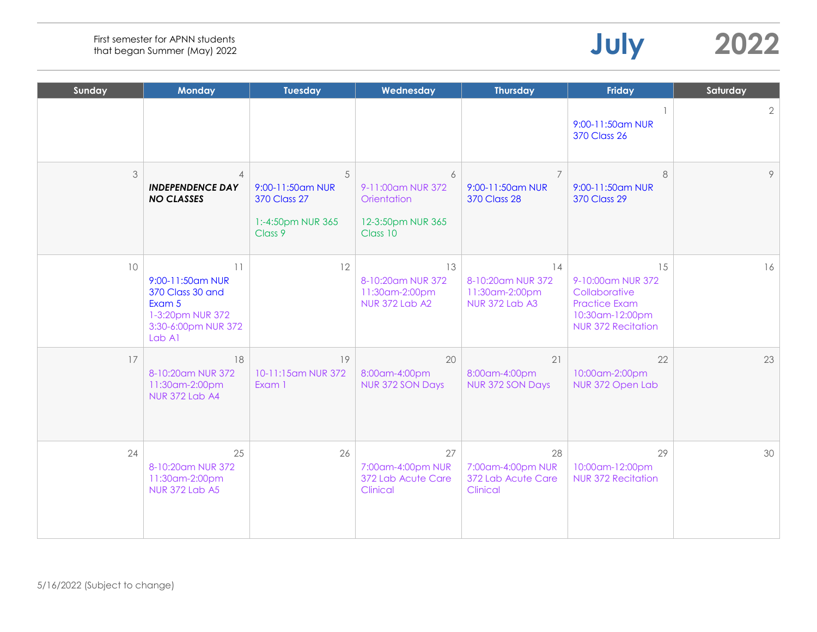| Sunday          | <b>Monday</b>                                                                                             | <b>Tuesday</b>                                                               | Wednesday                                                              | <b>Thursday</b>                                                    | <b>Friday</b>                                                                                                    | Saturday   |
|-----------------|-----------------------------------------------------------------------------------------------------------|------------------------------------------------------------------------------|------------------------------------------------------------------------|--------------------------------------------------------------------|------------------------------------------------------------------------------------------------------------------|------------|
|                 |                                                                                                           |                                                                              |                                                                        |                                                                    | 9:00-11:50am NUR<br><b>370 Class 26</b>                                                                          | $\sqrt{2}$ |
| 3               | $\overline{4}$<br><b>INDEPENDENCE DAY</b><br><b>NO CLASSES</b>                                            | 5<br>9:00-11:50am NUR<br><b>370 Class 27</b><br>1:-4:50pm NUR 365<br>Class 9 | 6<br>9-11:00am NUR 372<br>Orientation<br>12-3:50pm NUR 365<br>Class 10 | $\overline{7}$<br>9:00-11:50am NUR<br><b>370 Class 28</b>          | 8<br>9:00-11:50am NUR<br><b>370 Class 29</b>                                                                     | 9          |
| 10 <sup>°</sup> | 11<br>9:00-11:50am NUR<br>370 Class 30 and<br>Exam 5<br>1-3:20pm NUR 372<br>3:30-6:00pm NUR 372<br>Lab A1 | 12                                                                           | 13<br>8-10:20am NUR 372<br>11:30am-2:00pm<br><b>NUR 372 Lab A2</b>     | 14<br>8-10:20am NUR 372<br>11:30am-2:00pm<br><b>NUR 372 Lab A3</b> | 15<br>9-10:00am NUR 372<br>Collaborative<br><b>Practice Exam</b><br>10:30am-12:00pm<br><b>NUR 372 Recitation</b> | 16         |
| 17              | 18<br>8-10:20am NUR 372<br>11:30am-2:00pm<br><b>NUR 372 Lab A4</b>                                        | 19<br>10-11:15am NUR 372<br>Exam 1                                           | 20<br>8:00am-4:00pm<br>NUR 372 SON Days                                | 21<br>8:00am-4:00pm<br>NUR 372 SON Days                            | 22<br>10:00am-2:00pm<br>NUR 372 Open Lab                                                                         | 23         |
| 24              | 25<br>8-10:20am NUR 372<br>11:30am-2:00pm<br><b>NUR 372 Lab A5</b>                                        | 26                                                                           | 27<br>7:00am-4:00pm NUR<br>372 Lab Acute Care<br>Clinical              | 28<br>7:00am-4:00pm NUR<br>372 Lab Acute Care<br>Clinical          | 29<br>10:00am-12:00pm<br><b>NUR 372 Recitation</b>                                                               | 30         |

**July 2022**